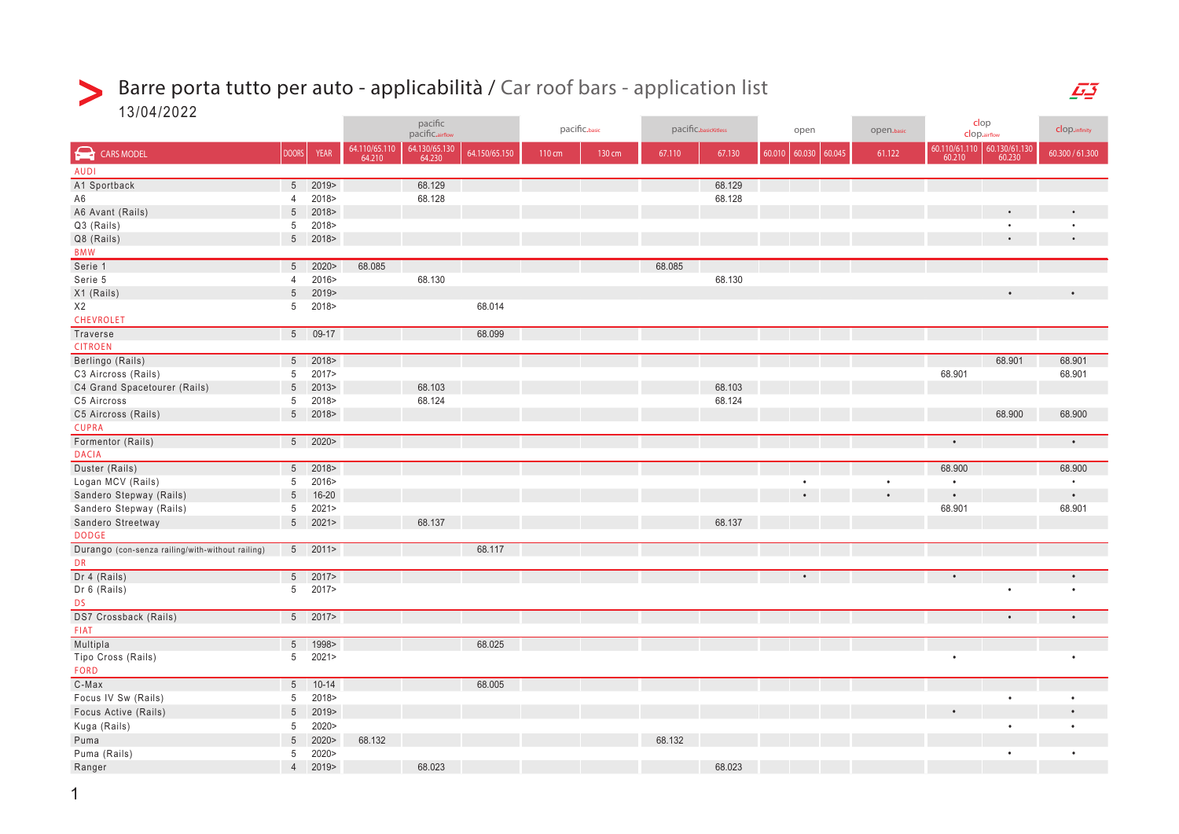## Barre porta tutto per auto - applicabilità / Car roof bars - application list  $\geq$

13/04/2022

|                                                  |                 |               | pacific<br>pacific.airflow |                         | pacific.basic<br>pacific.basicKitless |        |        | open   |        | open.basic       | clop<br>clop.airflow |           | clop.infinity |                                                                                                                   |                 |
|--------------------------------------------------|-----------------|---------------|----------------------------|-------------------------|---------------------------------------|--------|--------|--------|--------|------------------|----------------------|-----------|---------------|-------------------------------------------------------------------------------------------------------------------|-----------------|
| CARS MODEL                                       | <b>DOORS</b>    | <b>YEAR</b>   | 64.110/65.110<br>64.210    | 64.130/65.130<br>64.230 | 64.150/65.150                         | 110 cm | 130 cm | 67.110 | 67.130 | 60.010<br>60.030 | 60.045               | 61.122    |               | $\begin{array}{ c c c c c } \hline 60.110/61.110 & 60.130/61.130 \\ \hline 60.210 & 60.230 \\ \hline \end{array}$ | 60.300 / 61.300 |
| <b>AUDI</b>                                      |                 |               |                            |                         |                                       |        |        |        |        |                  |                      |           |               |                                                                                                                   |                 |
| A1 Sportback                                     | 5 <sup>5</sup>  | 2019>         |                            | 68.129                  |                                       |        |        |        | 68.129 |                  |                      |           |               |                                                                                                                   |                 |
| A <sub>6</sub>                                   | $\overline{4}$  | 2018>         |                            | 68.128                  |                                       |        |        |        | 68.128 |                  |                      |           |               |                                                                                                                   |                 |
| A6 Avant (Rails)                                 | $\overline{5}$  | 2018>         |                            |                         |                                       |        |        |        |        |                  |                      |           |               |                                                                                                                   |                 |
| Q3 (Rails)                                       | 5               | 2018>         |                            |                         |                                       |        |        |        |        |                  |                      |           |               |                                                                                                                   |                 |
| Q8 (Rails)                                       | 5 <sup>5</sup>  | 2018>         |                            |                         |                                       |        |        |        |        |                  |                      |           |               |                                                                                                                   | $\bullet$       |
| <b>BMW</b>                                       |                 |               |                            |                         |                                       |        |        |        |        |                  |                      |           |               |                                                                                                                   |                 |
| Serie 1                                          | 5 <sup>5</sup>  | 2020          | 68.085                     |                         |                                       |        |        | 68.085 |        |                  |                      |           |               |                                                                                                                   |                 |
| Serie 5                                          | $\overline{4}$  | 2016>         |                            | 68.130                  |                                       |        |        |        | 68.130 |                  |                      |           |               |                                                                                                                   |                 |
| X1 (Rails)                                       | $5\phantom{.0}$ | 2019>         |                            |                         |                                       |        |        |        |        |                  |                      |           |               |                                                                                                                   |                 |
| X2                                               | 5               | 2018>         |                            |                         | 68.014                                |        |        |        |        |                  |                      |           |               |                                                                                                                   |                 |
| CHEVROLET                                        |                 |               |                            |                         |                                       |        |        |        |        |                  |                      |           |               |                                                                                                                   |                 |
| Traverse                                         |                 | 5 09-17       |                            |                         | 68.099                                |        |        |        |        |                  |                      |           |               |                                                                                                                   |                 |
| <b>CITROEN</b>                                   |                 |               |                            |                         |                                       |        |        |        |        |                  |                      |           |               |                                                                                                                   |                 |
| Berlingo (Rails)                                 | 5 <sup>7</sup>  | 2018>         |                            |                         |                                       |        |        |        |        |                  |                      |           |               | 68.901                                                                                                            | 68.901          |
| C3 Aircross (Rails)                              | 5               | 2017>         |                            |                         |                                       |        |        |        |        |                  |                      |           | 68.901        |                                                                                                                   | 68.901          |
| C4 Grand Spacetourer (Rails)                     | $5\phantom{.0}$ | 2013          |                            | 68.103                  |                                       |        |        |        | 68.103 |                  |                      |           |               |                                                                                                                   |                 |
| C5 Aircross                                      | 5               | 2018>         |                            | 68.124                  |                                       |        |        |        | 68.124 |                  |                      |           |               |                                                                                                                   |                 |
| C5 Aircross (Rails)                              |                 | 5 2018>       |                            |                         |                                       |        |        |        |        |                  |                      |           |               | 68.900                                                                                                            | 68.900          |
| <b>CUPRA</b>                                     |                 |               |                            |                         |                                       |        |        |        |        |                  |                      |           |               |                                                                                                                   |                 |
| Formentor (Rails)                                |                 | 5 2020>       |                            |                         |                                       |        |        |        |        |                  |                      |           | $\bullet$     |                                                                                                                   | $\bullet$       |
| <b>DACIA</b>                                     |                 |               |                            |                         |                                       |        |        |        |        |                  |                      |           |               |                                                                                                                   |                 |
| Duster (Rails)                                   | 5 <sup>5</sup>  | 2018>         |                            |                         |                                       |        |        |        |        |                  |                      |           | 68.900        |                                                                                                                   | 68.900          |
| Logan MCV (Rails)                                | 5               | 2016>         |                            |                         |                                       |        |        |        |        | $\bullet$        |                      | $\bullet$ | $\bullet$     |                                                                                                                   | $\bullet$       |
| Sandero Stepway (Rails)                          | $5\phantom{.0}$ | $16 - 20$     |                            |                         |                                       |        |        |        |        |                  |                      |           | $\bullet$     |                                                                                                                   | $\bullet$       |
| Sandero Stepway (Rails)                          | 5               | 2021          |                            |                         |                                       |        |        |        |        |                  |                      |           | 68.901        |                                                                                                                   | 68.901          |
| Sandero Streetway                                | $5\phantom{.0}$ | 2021          |                            | 68.137                  |                                       |        |        |        | 68.137 |                  |                      |           |               |                                                                                                                   |                 |
| <b>DODGE</b>                                     |                 |               |                            |                         |                                       |        |        |        |        |                  |                      |           |               |                                                                                                                   |                 |
| Durango (con-senza railing/with-without railing) |                 | $5$ 2011>     |                            |                         | 68.117                                |        |        |        |        |                  |                      |           |               |                                                                                                                   |                 |
| <b>DR</b>                                        |                 |               |                            |                         |                                       |        |        |        |        |                  |                      |           |               |                                                                                                                   |                 |
| Dr 4 (Rails)                                     | 5 <sup>7</sup>  | 2017          |                            |                         |                                       |        |        |        |        |                  |                      |           |               |                                                                                                                   |                 |
| Dr 6 (Rails)                                     | 5 <sup>5</sup>  | 2017>         |                            |                         |                                       |        |        |        |        |                  |                      |           |               |                                                                                                                   |                 |
| <b>DS</b>                                        |                 |               |                            |                         |                                       |        |        |        |        |                  |                      |           |               |                                                                                                                   |                 |
| DS7 Crossback (Rails)                            |                 | $5 \t2017$    |                            |                         |                                       |        |        |        |        |                  |                      |           |               |                                                                                                                   | $\bullet$       |
| <b>FIAT</b>                                      |                 |               |                            |                         |                                       |        |        |        |        |                  |                      |           |               |                                                                                                                   |                 |
| Multipla                                         | $5\overline{)}$ | 1998>         |                            |                         | 68.025                                |        |        |        |        |                  |                      |           |               |                                                                                                                   |                 |
| Tipo Cross (Rails)                               | 5 <sup>5</sup>  | 2021          |                            |                         |                                       |        |        |        |        |                  |                      |           | $\bullet$     |                                                                                                                   |                 |
| <b>FORD</b>                                      |                 |               |                            |                         |                                       |        |        |        |        |                  |                      |           |               |                                                                                                                   |                 |
| $C-Max$                                          |                 | $5 - 10 - 14$ |                            |                         | 68.005                                |        |        |        |        |                  |                      |           |               |                                                                                                                   |                 |
| Focus IV Sw (Rails)                              | 5               | 2018>         |                            |                         |                                       |        |        |        |        |                  |                      |           |               |                                                                                                                   | $\bullet$       |
| Focus Active (Rails)                             | $5\phantom{.0}$ | 2019          |                            |                         |                                       |        |        |        |        |                  |                      |           |               |                                                                                                                   |                 |
| Kuga (Rails)                                     | 5               | 2020>         |                            |                         |                                       |        |        |        |        |                  |                      |           |               |                                                                                                                   |                 |
| Puma                                             | $5\phantom{.0}$ | 2020          | 68.132                     |                         |                                       |        |        | 68.132 |        |                  |                      |           |               |                                                                                                                   |                 |
| Puma (Rails)                                     | 5               | 2020>         |                            |                         |                                       |        |        |        |        |                  |                      |           |               |                                                                                                                   |                 |
| Ranger                                           | $\overline{4}$  | 2019>         |                            | 68.023                  |                                       |        |        |        | 68.023 |                  |                      |           |               |                                                                                                                   |                 |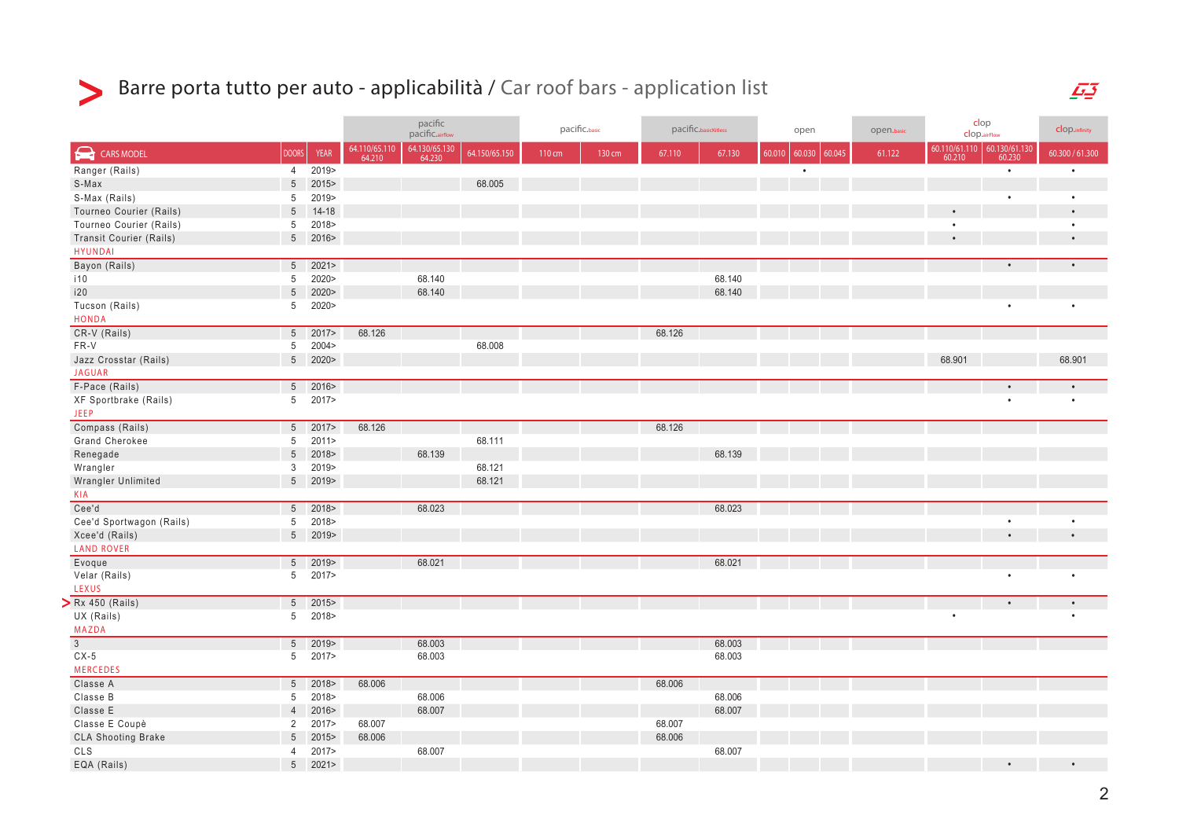

## Barre porta tutto per auto - applicabilità / Car roof bars - application list

|                                            |                 |             |                         | pacific<br>pacific.airflow |               | pacific.basic |        | pacific.basicKitless |        | open   |                  | open.basic | clop<br><b>clop.airFlow</b> |                             | clop.infinity   |
|--------------------------------------------|-----------------|-------------|-------------------------|----------------------------|---------------|---------------|--------|----------------------|--------|--------|------------------|------------|-----------------------------|-----------------------------|-----------------|
| $\blacktriangleright$<br><b>CARS MODEL</b> | <b>DOORS</b>    | <b>YEAR</b> | 64.110/65.110<br>64.210 | 64.130/65.130<br>64.230    | 64.150/65.150 | 110 cm        | 130 cm | 67.110               | 67.130 | 60.010 | 60.030<br>60.045 | 61.122     |                             | 60.110/61.110 60.130/61.130 | 60.300 / 61.300 |
| Ranger (Rails)                             | 4               | 2019>       |                         |                            |               |               |        |                      |        |        | $\bullet$        |            |                             | $\bullet$                   | $\bullet$       |
| S-Max                                      | $5\phantom{.0}$ | 2015>       |                         |                            | 68.005        |               |        |                      |        |        |                  |            |                             |                             |                 |
| S-Max (Rails)                              | $5\phantom{.0}$ | 2019>       |                         |                            |               |               |        |                      |        |        |                  |            |                             |                             | $\bullet$       |
| Tourneo Courier (Rails)                    | $\sqrt{5}$      | $14 - 18$   |                         |                            |               |               |        |                      |        |        |                  |            |                             |                             | $\bullet$       |
| Tourneo Courier (Rails)                    | $5\overline{)}$ | 2018>       |                         |                            |               |               |        |                      |        |        |                  |            |                             |                             | $\bullet$       |
| <b>Transit Courier (Rails)</b>             |                 | 5 2016>     |                         |                            |               |               |        |                      |        |        |                  |            |                             |                             | $\bullet$       |
| <b>HYUNDAI</b>                             |                 |             |                         |                            |               |               |        |                      |        |        |                  |            |                             |                             |                 |
| Bayon (Rails)                              | $5\overline{)}$ | 2021        |                         |                            |               |               |        |                      |        |        |                  |            |                             |                             | $\bullet$       |
| i10                                        | $5\overline{)}$ | 2020>       |                         | 68.140                     |               |               |        |                      | 68.140 |        |                  |            |                             |                             |                 |
| i20                                        | $5\phantom{.0}$ | 2020        |                         | 68.140                     |               |               |        |                      | 68.140 |        |                  |            |                             |                             |                 |
| Tucson (Rails)                             |                 | 5 2020>     |                         |                            |               |               |        |                      |        |        |                  |            |                             |                             |                 |
| <b>HONDA</b>                               |                 |             |                         |                            |               |               |        |                      |        |        |                  |            |                             |                             |                 |
| CR-V (Rails)                               |                 | $5 \t2017$  | 68.126                  |                            |               |               |        | 68.126               |        |        |                  |            |                             |                             |                 |
| FR-V                                       | $5\phantom{.0}$ | 2004 >      |                         |                            | 68.008        |               |        |                      |        |        |                  |            |                             |                             |                 |
| Jazz Crosstar (Rails)                      |                 | 5 2020>     |                         |                            |               |               |        |                      |        |        |                  |            | 68.901                      |                             | 68.901          |
| <b>JAGUAR</b>                              |                 |             |                         |                            |               |               |        |                      |        |        |                  |            |                             |                             |                 |
| F-Pace (Rails)                             |                 | $5 \t2016$  |                         |                            |               |               |        |                      |        |        |                  |            |                             |                             | $\bullet$       |
| XF Sportbrake (Rails)                      |                 | 5 2017>     |                         |                            |               |               |        |                      |        |        |                  |            |                             | $\bullet$                   |                 |
| <b>JEEP</b>                                |                 |             |                         |                            |               |               |        |                      |        |        |                  |            |                             |                             |                 |
| Compass (Rails)                            |                 | $5$ 2017>   | 68.126                  |                            |               |               |        | 68.126               |        |        |                  |            |                             |                             |                 |
| Grand Cherokee                             | $5\phantom{.0}$ | 2011        |                         |                            | 68.111        |               |        |                      |        |        |                  |            |                             |                             |                 |
| Renegade                                   |                 | 5 2018>     |                         | 68.139                     |               |               |        |                      | 68.139 |        |                  |            |                             |                             |                 |
| Wrangler                                   | $\mathbf{3}$    | 2019>       |                         |                            | 68.121        |               |        |                      |        |        |                  |            |                             |                             |                 |
| Wrangler Unlimited                         |                 | 5 2019>     |                         |                            | 68.121        |               |        |                      |        |        |                  |            |                             |                             |                 |
| KIA                                        |                 |             |                         |                            |               |               |        |                      |        |        |                  |            |                             |                             |                 |
| Cee'd                                      |                 | $5 \t2018$  |                         | 68.023                     |               |               |        |                      | 68.023 |        |                  |            |                             |                             |                 |
| Cee'd Sportwagon (Rails)                   | $5\phantom{.0}$ | 2018>       |                         |                            |               |               |        |                      |        |        |                  |            |                             |                             |                 |
| Xcee'd (Rails)                             |                 | 5 2019>     |                         |                            |               |               |        |                      |        |        |                  |            |                             |                             |                 |
| <b>LAND ROVER</b>                          |                 |             |                         |                            |               |               |        |                      |        |        |                  |            |                             |                             |                 |
| Evoque                                     |                 | $5 \t 2019$ |                         | 68.021                     |               |               |        |                      | 68.021 |        |                  |            |                             |                             |                 |
| Velar (Rails)                              |                 | 5 2017>     |                         |                            |               |               |        |                      |        |        |                  |            |                             | $\bullet$                   | $\bullet$       |
| LEXUS                                      |                 |             |                         |                            |               |               |        |                      |        |        |                  |            |                             |                             |                 |
| $\sum$ Rx 450 (Rails)                      |                 | $5 \t2015$  |                         |                            |               |               |        |                      |        |        |                  |            |                             | $\bullet$                   | $\bullet$       |
| UX (Rails)                                 |                 | 5 2018>     |                         |                            |               |               |        |                      |        |        |                  |            | $\bullet$                   |                             | $\bullet$       |
| <b>MAZDA</b>                               |                 |             |                         |                            |               |               |        |                      |        |        |                  |            |                             |                             |                 |
| $\overline{3}$                             |                 | $5 \t2019$  |                         | 68.003                     |               |               |        |                      | 68.003 |        |                  |            |                             |                             |                 |
| $CX-5$                                     |                 | 5 2017>     |                         | 68.003                     |               |               |        |                      | 68.003 |        |                  |            |                             |                             |                 |
| <b>MERCEDES</b>                            |                 |             |                         |                            |               |               |        |                      |        |        |                  |            |                             |                             |                 |
| Classe A                                   |                 | $5 \t 2018$ | 68.006                  |                            |               |               |        | 68.006               |        |        |                  |            |                             |                             |                 |
| Classe B                                   | $5\overline{)}$ | 2018>       |                         | 68.006                     |               |               |        |                      | 68.006 |        |                  |            |                             |                             |                 |
| Classe E                                   | $\overline{4}$  | 2016        |                         | 68.007                     |               |               |        |                      | 68.007 |        |                  |            |                             |                             |                 |
| Classe E Coupè                             | 2               | 2017>       | 68.007                  |                            |               |               |        | 68.007               |        |        |                  |            |                             |                             |                 |
| <b>CLA Shooting Brake</b>                  | $5\phantom{.0}$ | 2015        | 68.006                  |                            |               |               |        | 68.006               |        |        |                  |            |                             |                             |                 |
| CLS                                        | 4               | 2017        |                         | 68.007                     |               |               |        |                      | 68.007 |        |                  |            |                             |                             |                 |
| EQA (Rails)                                | 5 <sup>5</sup>  | 2021        |                         |                            |               |               |        |                      |        |        |                  |            |                             |                             |                 |
|                                            |                 |             |                         |                            |               |               |        |                      |        |        |                  |            |                             |                             |                 |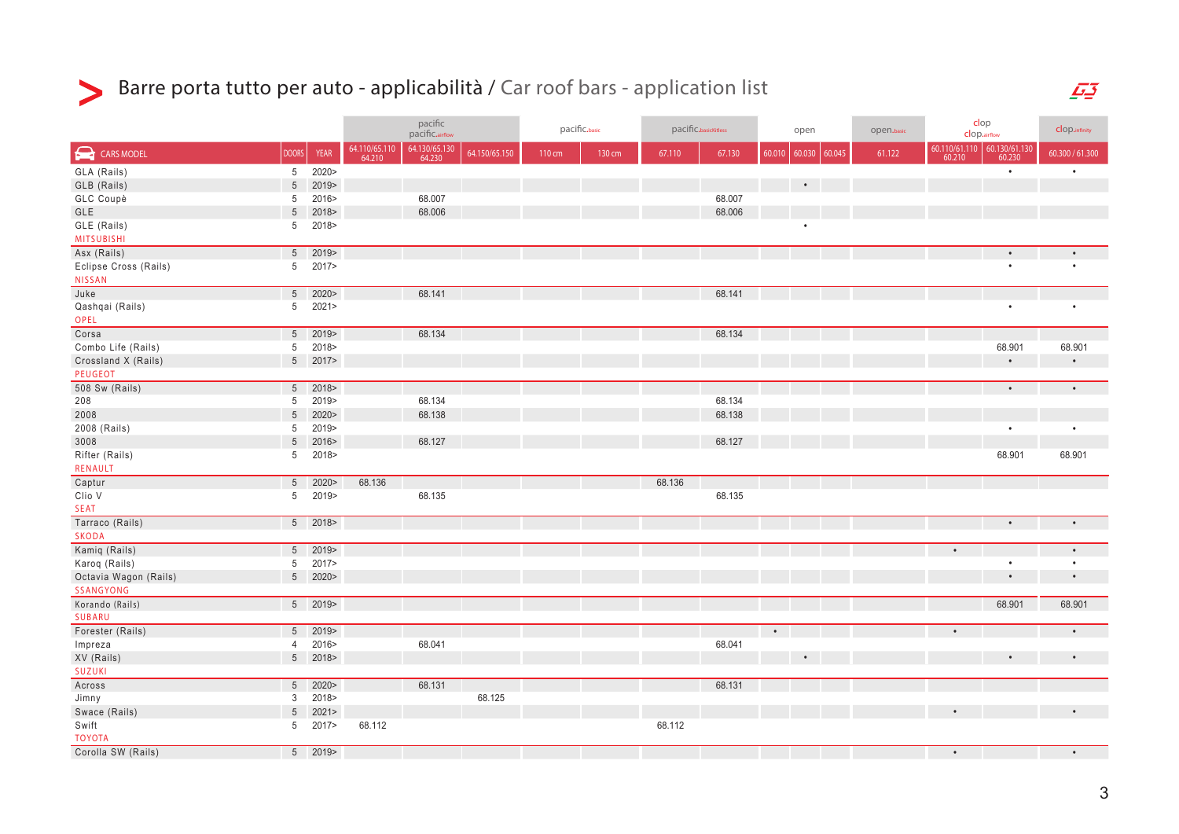

## Barre porta tutto per auto - applicabilità / Car roof bars - application list

|                       |                 |             | pacific<br>pacific.airflow |                         |               | pacific.basic |        | pacific.basicKitless |        | open      |        |        | open.basic | clop<br>clop.airflow    |                         | clop.infinity   |
|-----------------------|-----------------|-------------|----------------------------|-------------------------|---------------|---------------|--------|----------------------|--------|-----------|--------|--------|------------|-------------------------|-------------------------|-----------------|
| CARS MODEL            | <b>DOORS</b>    | <b>YEAR</b> | 64.110/65.110<br>64.210    | 64.130/65.130<br>64.230 | 64.150/65.150 | 110 cm        | 130 cm | 67.110               | 67.130 | 60.010    | 60.030 | 60.045 | 61.122     | 60.110/61.110<br>60.210 | 60.130/61.130<br>60.230 | 60.300 / 61.300 |
| GLA (Rails)           | 5 <sup>5</sup>  | 2020>       |                            |                         |               |               |        |                      |        |           |        |        |            |                         | $\bullet$               | $\bullet$       |
| GLB (Rails)           | 5               | 2019        |                            |                         |               |               |        |                      |        |           |        |        |            |                         |                         |                 |
| GLC Coupè             | 5               | 2016>       |                            | 68.007                  |               |               |        |                      | 68.007 |           |        |        |            |                         |                         |                 |
| GLE                   | 5               | 2018>       |                            | 68.006                  |               |               |        |                      | 68.006 |           |        |        |            |                         |                         |                 |
| GLE (Rails)           | 5               | 2018>       |                            |                         |               |               |        |                      |        |           | ٠      |        |            |                         |                         |                 |
| <b>MITSUBISHI</b>     |                 |             |                            |                         |               |               |        |                      |        |           |        |        |            |                         |                         |                 |
| Asx (Rails)           | $5\phantom{.0}$ | 2019>       |                            |                         |               |               |        |                      |        |           |        |        |            |                         | $\bullet$               |                 |
| Eclipse Cross (Rails) | 5               | 2017>       |                            |                         |               |               |        |                      |        |           |        |        |            |                         | $\bullet$               |                 |
| <b>NISSAN</b>         |                 |             |                            |                         |               |               |        |                      |        |           |        |        |            |                         |                         |                 |
| Juke                  |                 | $5 - 2020$  |                            | 68.141                  |               |               |        |                      | 68.141 |           |        |        |            |                         |                         |                 |
| Qashqai (Rails)       | 5               | 2021        |                            |                         |               |               |        |                      |        |           |        |        |            |                         | $\bullet$               | $\bullet$       |
| OPEL                  |                 |             |                            |                         |               |               |        |                      |        |           |        |        |            |                         |                         |                 |
| Corsa                 |                 | 5 2019>     |                            | 68.134                  |               |               |        |                      | 68.134 |           |        |        |            |                         |                         |                 |
| Combo Life (Rails)    | 5               | 2018>       |                            |                         |               |               |        |                      |        |           |        |        |            |                         | 68.901                  | 68.901          |
| Crossland X (Rails)   |                 | 5 2017>     |                            |                         |               |               |        |                      |        |           |        |        |            |                         | $\bullet$               | $\bullet$       |
| <b>PEUGEOT</b>        |                 |             |                            |                         |               |               |        |                      |        |           |        |        |            |                         |                         |                 |
| 508 Sw (Rails)        |                 | 5 2018>     |                            |                         |               |               |        |                      |        |           |        |        |            |                         | $\bullet$               | $\bullet$       |
| 208                   | $5\phantom{.0}$ | 2019>       |                            | 68.134                  |               |               |        |                      | 68.134 |           |        |        |            |                         |                         |                 |
| 2008                  | 5               | 2020        |                            | 68.138                  |               |               |        |                      | 68.138 |           |        |        |            |                         |                         |                 |
| 2008 (Rails)          | 5               | 2019>       |                            |                         |               |               |        |                      |        |           |        |        |            |                         | $\bullet$               | $\bullet$       |
| 3008                  | 5               | 2016        |                            | 68.127                  |               |               |        |                      | 68.127 |           |        |        |            |                         |                         |                 |
| Rifter (Rails)        | 5               | 2018>       |                            |                         |               |               |        |                      |        |           |        |        |            |                         | 68.901                  | 68.901          |
| RENAULT               |                 |             |                            |                         |               |               |        |                      |        |           |        |        |            |                         |                         |                 |
| Captur                | 5 <sup>5</sup>  | 2020        | 68.136                     |                         |               |               |        | 68.136               |        |           |        |        |            |                         |                         |                 |
| Clio V                | 5               | 2019>       |                            | 68.135                  |               |               |        |                      | 68.135 |           |        |        |            |                         |                         |                 |
| <b>SEAT</b>           |                 |             |                            |                         |               |               |        |                      |        |           |        |        |            |                         |                         |                 |
| Tarraco (Rails)       |                 | $5 - 2018$  |                            |                         |               |               |        |                      |        |           |        |        |            |                         |                         | $\bullet$       |
| <b>SKODA</b>          |                 |             |                            |                         |               |               |        |                      |        |           |        |        |            |                         |                         |                 |
| Kamiq (Rails)         |                 | 5 2019>     |                            |                         |               |               |        |                      |        |           |        |        |            | $\bullet$               |                         | $\bullet$       |
| Karoq (Rails)         | 5               | 2017>       |                            |                         |               |               |        |                      |        |           |        |        |            |                         | $\bullet$               | $\bullet$       |
| Octavia Wagon (Rails) | 5 <sup>5</sup>  | 2020>       |                            |                         |               |               |        |                      |        |           |        |        |            |                         |                         | $\bullet$       |
| SSANGYONG             |                 |             |                            |                         |               |               |        |                      |        |           |        |        |            |                         |                         |                 |
| Korando (Rails)       |                 | 5 2019>     |                            |                         |               |               |        |                      |        |           |        |        |            |                         | 68.901                  | 68.901          |
| SUBARU                |                 |             |                            |                         |               |               |        |                      |        |           |        |        |            |                         |                         |                 |
| Forester (Rails)      | 5 <sup>5</sup>  | 2019>       |                            |                         |               |               |        |                      |        | $\bullet$ |        |        |            |                         |                         |                 |
| Impreza               | $\overline{4}$  | 2016>       |                            | 68.041                  |               |               |        |                      | 68.041 |           |        |        |            |                         |                         |                 |
| XV (Rails)            |                 | 5 2018>     |                            |                         |               |               |        |                      |        |           |        |        |            |                         |                         | $\bullet$       |
| <b>SUZUKI</b>         |                 |             |                            |                         |               |               |        |                      |        |           |        |        |            |                         |                         |                 |
| Across                | $\overline{5}$  | 2020        |                            | 68.131                  |               |               |        |                      | 68.131 |           |        |        |            |                         |                         |                 |
| Jimny                 | 3               | 2018>       |                            |                         | 68.125        |               |        |                      |        |           |        |        |            |                         |                         |                 |
| Swace (Rails)         | $\overline{5}$  | 2021        |                            |                         |               |               |        |                      |        |           |        |        |            |                         |                         |                 |
| Swift                 | 5               | 2017>       | 68.112                     |                         |               |               |        | 68.112               |        |           |        |        |            |                         |                         |                 |
| <b>TOYOTA</b>         |                 |             |                            |                         |               |               |        |                      |        |           |        |        |            |                         |                         |                 |
| Corolla SW (Rails)    |                 | $5 \t2019$  |                            |                         |               |               |        |                      |        |           |        |        |            | $\bullet$               |                         | $\bullet$       |